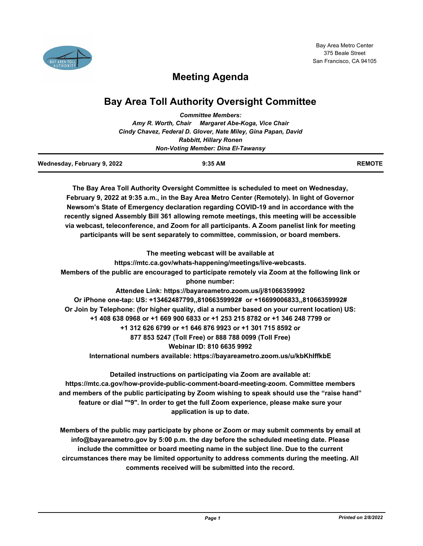

# **Meeting Agenda**

## **Bay Area Toll Authority Oversight Committee**

| <b>Committee Members:</b>                                      |                                                   |  |
|----------------------------------------------------------------|---------------------------------------------------|--|
|                                                                | Amy R. Worth, Chair Margaret Abe-Koga, Vice Chair |  |
| Cindy Chavez, Federal D. Glover, Nate Miley, Gina Papan, David |                                                   |  |
| <b>Rabbitt, Hillary Ronen</b>                                  |                                                   |  |
|                                                                | <b>Non-Voting Member: Dina El-Tawansy</b>         |  |

| Wednesday, February 9, 2022 | 9:35 AM | <b>REMOTE</b> |
|-----------------------------|---------|---------------|
|                             |         |               |

**The Bay Area Toll Authority Oversight Committee is scheduled to meet on Wednesday, February 9, 2022 at 9:35 a.m., in the Bay Area Metro Center (Remotely). In light of Governor Newsom's State of Emergency declaration regarding COVID-19 and in accordance with the recently signed Assembly Bill 361 allowing remote meetings, this meeting will be accessible via webcast, teleconference, and Zoom for all participants. A Zoom panelist link for meeting participants will be sent separately to committee, commission, or board members.**

**The meeting webcast will be available at https://mtc.ca.gov/whats-happening/meetings/live-webcasts. Members of the public are encouraged to participate remotely via Zoom at the following link or phone number: Attendee Link: https://bayareametro.zoom.us/j/81066359992 Or iPhone one-tap: US: +13462487799,,81066359992# or +16699006833,,81066359992# Or Join by Telephone: (for higher quality, dial a number based on your current location) US: +1 408 638 0968 or +1 669 900 6833 or +1 253 215 8782 or +1 346 248 7799 or +1 312 626 6799 or +1 646 876 9923 or +1 301 715 8592 or 877 853 5247 (Toll Free) or 888 788 0099 (Toll Free) Webinar ID: 810 6635 9992 International numbers available: https://bayareametro.zoom.us/u/kbKhIffkbE**

**Detailed instructions on participating via Zoom are available at: https://mtc.ca.gov/how-provide-public-comment-board-meeting-zoom. Committee members and members of the public participating by Zoom wishing to speak should use the "raise hand" feature or dial "\*9". In order to get the full Zoom experience, please make sure your application is up to date.**

**Members of the public may participate by phone or Zoom or may submit comments by email at info@bayareametro.gov by 5:00 p.m. the day before the scheduled meeting date. Please include the committee or board meeting name in the subject line. Due to the current circumstances there may be limited opportunity to address comments during the meeting. All comments received will be submitted into the record.**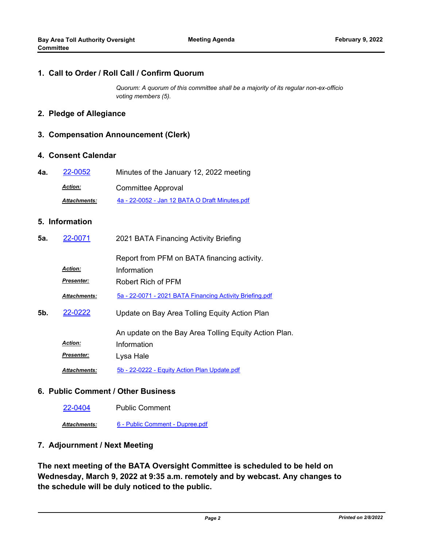#### **1. Call to Order / Roll Call / Confirm Quorum**

*Quorum: A quorum of this committee shall be a majority of its regular non-ex-officio voting members (5).*

## **2. Pledge of Allegiance**

#### **3. Compensation Announcement (Clerk)**

#### **4. Consent Calendar**

| 4а. | 22-0052             | Minutes of the January 12, 2022 meeting        |
|-----|---------------------|------------------------------------------------|
|     | <b>Action:</b>      | Committee Approval                             |
|     | <b>Attachments:</b> | 4a - 22-0052 - Jan 12 BATA O Draft Minutes.pdf |

### **5. Information**

| 5а. | 22-0071                             | 2021 BATA Financing Activity Briefing                                             |
|-----|-------------------------------------|-----------------------------------------------------------------------------------|
|     | <b>Action:</b><br><b>Presenter:</b> | Report from PFM on BATA financing activity.<br>Information<br>Robert Rich of PFM  |
|     | <b>Attachments:</b>                 | 5a - 22-0071 - 2021 BATA Financing Activity Briefing.pdf                          |
| 5b. | 22-0222                             | Update on Bay Area Tolling Equity Action Plan                                     |
|     | <b>Action:</b><br>Presenter:        | An update on the Bay Area Tolling Equity Action Plan.<br>Information<br>Lysa Hale |
|     | <b>Attachments:</b>                 | 5b - 22-0222 - Equity Action Plan Update.pdf                                      |

#### **6. Public Comment / Other Business**

[22-0404](http://mtc.legistar.com/gateway.aspx?m=l&id=/matter.aspx?key=23663) Public Comment

*Attachments:* [6 - Public Comment - Dupree.pdf](http://mtc.legistar.com/gateway.aspx?M=F&ID=2f7e1d15-79be-4f94-8b0f-18825191868a.pdf)

## **7. Adjournment / Next Meeting**

**The next meeting of the BATA Oversight Committee is scheduled to be held on Wednesday, March 9, 2022 at 9:35 a.m. remotely and by webcast. Any changes to the schedule will be duly noticed to the public.**